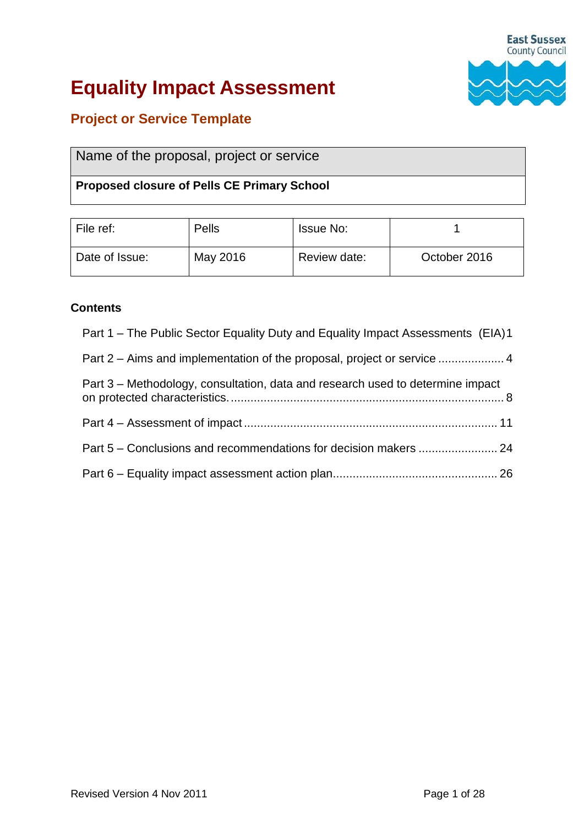

# **Equality Impact Assessment**

# **Project or Service Template**

| Name of the proposal, project or service |  |  |
|------------------------------------------|--|--|
|------------------------------------------|--|--|

# **Proposed closure of Pells CE Primary School**

| File ref:      | Pells    | <b>Issue No:</b> |              |
|----------------|----------|------------------|--------------|
| Date of Issue: | May 2016 | Review date:     | October 2016 |

# **Contents**

- Part 1 [The Public Sector Equality Duty and Equality Impact Assessments \(EIA\)1](#page-1-0)
- Part 2 [Aims and implementation of the proposal, project or service](#page-4-0) .................... 4

| Part 3 – Methodology, consultation, data and research used to determine impact |  |
|--------------------------------------------------------------------------------|--|
|                                                                                |  |
|                                                                                |  |
|                                                                                |  |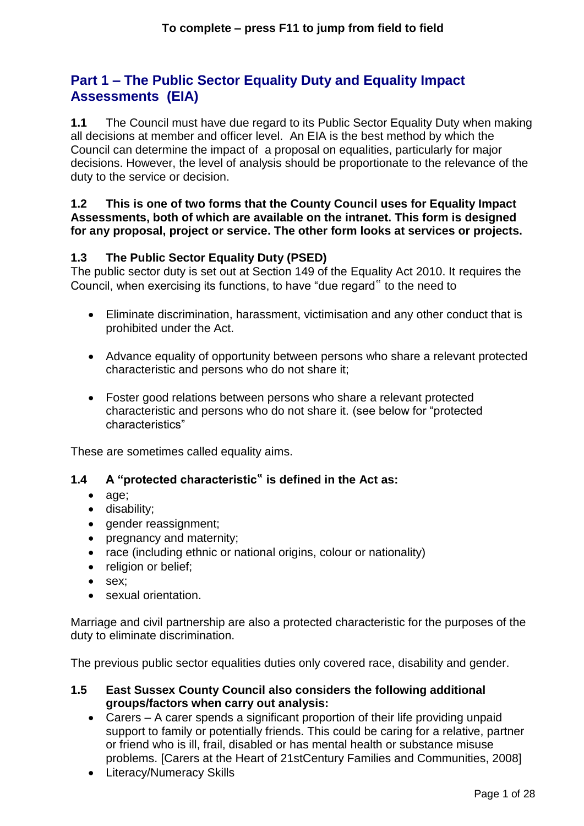# <span id="page-1-0"></span>**Part 1 – The Public Sector Equality Duty and Equality Impact Assessments (EIA)**

**1.1** The Council must have due regard to its Public Sector Equality Duty when making all decisions at member and officer level. An EIA is the best method by which the Council can determine the impact of a proposal on equalities, particularly for major decisions. However, the level of analysis should be proportionate to the relevance of the duty to the service or decision.

#### **1.2 This is one of two forms that the County Council uses for Equality Impact Assessments, both of which are available on the intranet. This form is designed for any proposal, project or service. The other form looks at services or projects.**

# **1.3 The Public Sector Equality Duty (PSED)**

The public sector duty is set out at Section 149 of the Equality Act 2010. It requires the Council, when exercising its functions, to have "due regard" to the need to

- Eliminate discrimination, harassment, victimisation and any other conduct that is prohibited under the Act.
- Advance equality of opportunity between persons who share a relevant protected characteristic and persons who do not share it;
- Foster good relations between persons who share a relevant protected characteristic and persons who do not share it. (see below for "protected characteristics"

These are sometimes called equality aims.

# **1.4 A "protected characteristic**" **is defined in the Act as:**

- age;
- disability;
- gender reassignment;
- pregnancy and maternity;
- race (including ethnic or national origins, colour or nationality)
- religion or belief;
- sex:
- sexual orientation.

Marriage and civil partnership are also a protected characteristic for the purposes of the duty to eliminate discrimination.

The previous public sector equalities duties only covered race, disability and gender.

#### **1.5 East Sussex County Council also considers the following additional groups/factors when carry out analysis:**

- Carers A carer spends a significant proportion of their life providing unpaid support to family or potentially friends. This could be caring for a relative, partner or friend who is ill, frail, disabled or has mental health or substance misuse problems. [Carers at the Heart of 21stCentury Families and Communities, 2008]
- Literacy/Numeracy Skills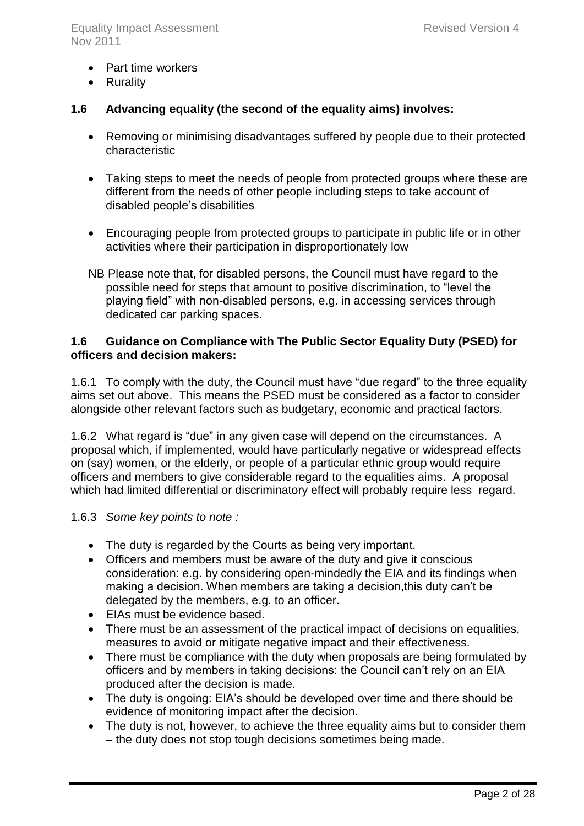- Part time workers
- Rurality

# **1.6 Advancing equality (the second of the equality aims) involves:**

- Removing or minimising disadvantages suffered by people due to their protected characteristic
- Taking steps to meet the needs of people from protected groups where these are different from the needs of other people including steps to take account of disabled people's disabilities
- Encouraging people from protected groups to participate in public life or in other activities where their participation in disproportionately low
- NB Please note that, for disabled persons, the Council must have regard to the possible need for steps that amount to positive discrimination, to "level the playing field" with non-disabled persons, e.g. in accessing services through dedicated car parking spaces.

# **1.6 Guidance on Compliance with The Public Sector Equality Duty (PSED) for officers and decision makers:**

1.6.1 To comply with the duty, the Council must have "due regard" to the three equality aims set out above. This means the PSED must be considered as a factor to consider alongside other relevant factors such as budgetary, economic and practical factors.

1.6.2 What regard is "due" in any given case will depend on the circumstances. A proposal which, if implemented, would have particularly negative or widespread effects on (say) women, or the elderly, or people of a particular ethnic group would require officers and members to give considerable regard to the equalities aims. A proposal which had limited differential or discriminatory effect will probably require less regard.

# 1.6.3 *Some key points to note :*

- The duty is regarded by the Courts as being very important.
- Officers and members must be aware of the duty and give it conscious consideration: e.g. by considering open-mindedly the EIA and its findings when making a decision. When members are taking a decision,this duty can't be delegated by the members, e.g. to an officer.
- EIAs must be evidence based.
- There must be an assessment of the practical impact of decisions on equalities, measures to avoid or mitigate negative impact and their effectiveness.
- There must be compliance with the duty when proposals are being formulated by officers and by members in taking decisions: the Council can't rely on an EIA produced after the decision is made.
- The duty is ongoing: EIA's should be developed over time and there should be evidence of monitoring impact after the decision.
- The duty is not, however, to achieve the three equality aims but to consider them – the duty does not stop tough decisions sometimes being made.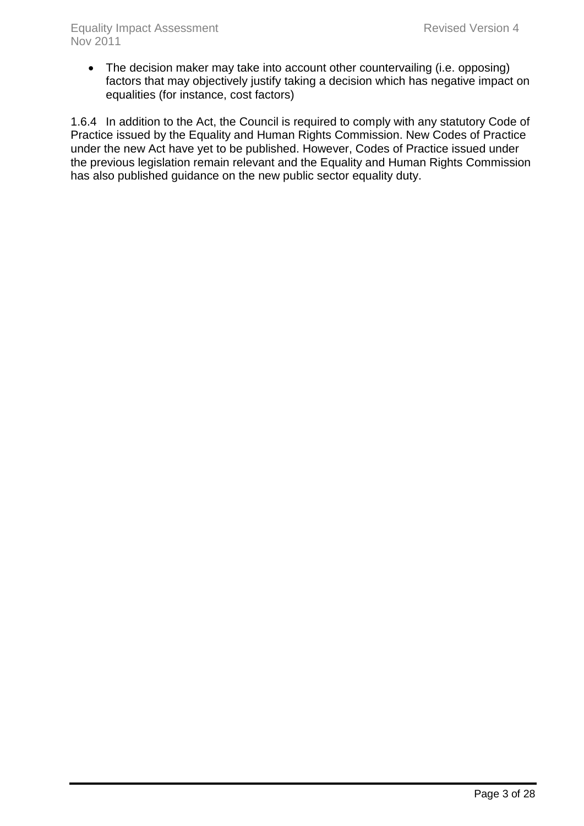• The decision maker may take into account other countervailing (i.e. opposing) factors that may objectively justify taking a decision which has negative impact on equalities (for instance, cost factors)

1.6.4 In addition to the Act, the Council is required to comply with any statutory Code of Practice issued by the Equality and Human Rights Commission. New Codes of Practice under the new Act have yet to be published. However, Codes of Practice issued under the previous legislation remain relevant and the Equality and Human Rights Commission has also published guidance on the new public sector equality duty.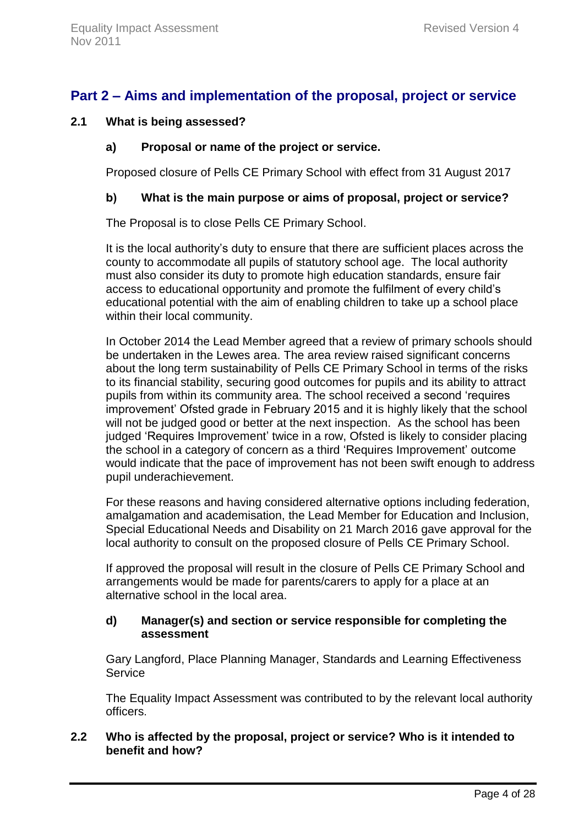# <span id="page-4-0"></span>**Part 2 – Aims and implementation of the proposal, project or service**

### **2.1 What is being assessed?**

#### **a) Proposal or name of the project or service.**

Proposed closure of Pells CE Primary School with effect from 31 August 2017

#### **b) What is the main purpose or aims of proposal, project or service?**

The Proposal is to close Pells CE Primary School.

It is the local authority's duty to ensure that there are sufficient places across the county to accommodate all pupils of statutory school age. The local authority must also consider its duty to promote high education standards, ensure fair access to educational opportunity and promote the fulfilment of every child's educational potential with the aim of enabling children to take up a school place within their local community.

In October 2014 the Lead Member agreed that a review of primary schools should be undertaken in the Lewes area. The area review raised significant concerns about the long term sustainability of Pells CE Primary School in terms of the risks to its financial stability, securing good outcomes for pupils and its ability to attract pupils from within its community area. The school received a second 'requires improvement' Ofsted grade in February 2015 and it is highly likely that the school will not be judged good or better at the next inspection. As the school has been judged 'Requires Improvement' twice in a row, Ofsted is likely to consider placing the school in a category of concern as a third 'Requires Improvement' outcome would indicate that the pace of improvement has not been swift enough to address pupil underachievement.

For these reasons and having considered alternative options including federation, amalgamation and academisation, the Lead Member for Education and Inclusion, Special Educational Needs and Disability on 21 March 2016 gave approval for the local authority to consult on the proposed closure of Pells CE Primary School.

If approved the proposal will result in the closure of Pells CE Primary School and arrangements would be made for parents/carers to apply for a place at an alternative school in the local area.

# **d) Manager(s) and section or service responsible for completing the assessment**

Gary Langford, Place Planning Manager, Standards and Learning Effectiveness **Service** 

The Equality Impact Assessment was contributed to by the relevant local authority officers.

### **2.2 Who is affected by the proposal, project or service? Who is it intended to benefit and how?**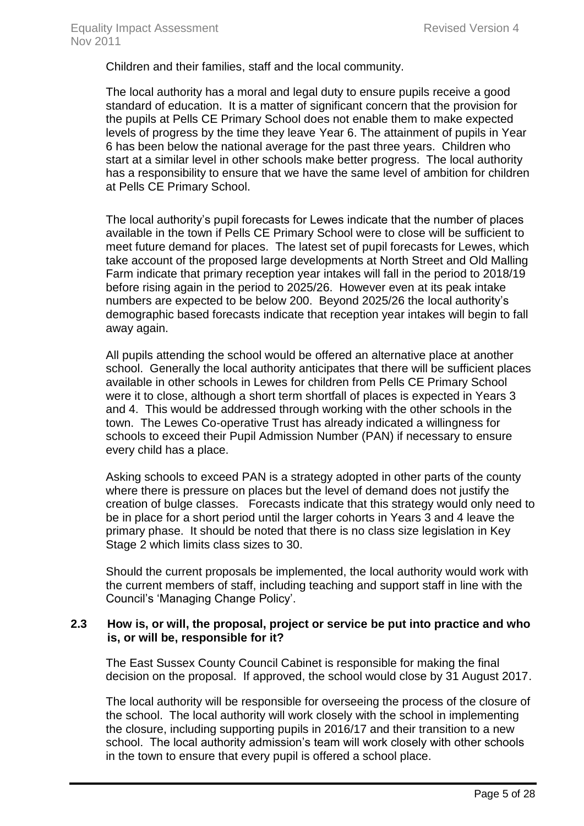Children and their families, staff and the local community.

The local authority has a moral and legal duty to ensure pupils receive a good standard of education. It is a matter of significant concern that the provision for the pupils at Pells CE Primary School does not enable them to make expected levels of progress by the time they leave Year 6. The attainment of pupils in Year 6 has been below the national average for the past three years. Children who start at a similar level in other schools make better progress. The local authority has a responsibility to ensure that we have the same level of ambition for children at Pells CE Primary School.

The local authority's pupil forecasts for Lewes indicate that the number of places available in the town if Pells CE Primary School were to close will be sufficient to meet future demand for places. The latest set of pupil forecasts for Lewes, which take account of the proposed large developments at North Street and Old Malling Farm indicate that primary reception year intakes will fall in the period to 2018/19 before rising again in the period to 2025/26. However even at its peak intake numbers are expected to be below 200. Beyond 2025/26 the local authority's demographic based forecasts indicate that reception year intakes will begin to fall away again.

All pupils attending the school would be offered an alternative place at another school. Generally the local authority anticipates that there will be sufficient places available in other schools in Lewes for children from Pells CE Primary School were it to close, although a short term shortfall of places is expected in Years 3 and 4. This would be addressed through working with the other schools in the town. The Lewes Co-operative Trust has already indicated a willingness for schools to exceed their Pupil Admission Number (PAN) if necessary to ensure every child has a place.

Asking schools to exceed PAN is a strategy adopted in other parts of the county where there is pressure on places but the level of demand does not justify the creation of bulge classes. Forecasts indicate that this strategy would only need to be in place for a short period until the larger cohorts in Years 3 and 4 leave the primary phase. It should be noted that there is no class size legislation in Key Stage 2 which limits class sizes to 30.

Should the current proposals be implemented, the local authority would work with the current members of staff, including teaching and support staff in line with the Council's 'Managing Change Policy'.

#### **2.3 How is, or will, the proposal, project or service be put into practice and who is, or will be, responsible for it?**

The East Sussex County Council Cabinet is responsible for making the final decision on the proposal. If approved, the school would close by 31 August 2017.

The local authority will be responsible for overseeing the process of the closure of the school. The local authority will work closely with the school in implementing the closure, including supporting pupils in 2016/17 and their transition to a new school. The local authority admission's team will work closely with other schools in the town to ensure that every pupil is offered a school place.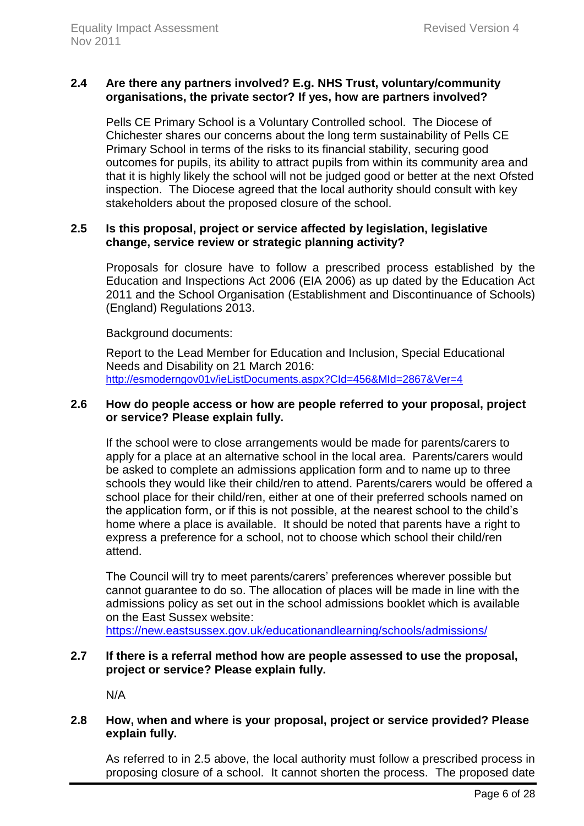# **2.4 Are there any partners involved? E.g. NHS Trust, voluntary/community organisations, the private sector? If yes, how are partners involved?**

Pells CE Primary School is a Voluntary Controlled school. The Diocese of Chichester shares our concerns about the long term sustainability of Pells CE Primary School in terms of the risks to its financial stability, securing good outcomes for pupils, its ability to attract pupils from within its community area and that it is highly likely the school will not be judged good or better at the next Ofsted inspection. The Diocese agreed that the local authority should consult with key stakeholders about the proposed closure of the school.

### **2.5 Is this proposal, project or service affected by legislation, legislative change, service review or strategic planning activity?**

Proposals for closure have to follow a prescribed process established by the Education and Inspections Act 2006 (EIA 2006) as up dated by the Education Act 2011 and the School Organisation (Establishment and Discontinuance of Schools) (England) Regulations 2013.

Background documents:

Report to the Lead Member for Education and Inclusion, Special Educational Needs and Disability on 21 March 2016: <http://esmoderngov01v/ieListDocuments.aspx?CId=456&MId=2867&Ver=4>

#### **2.6 How do people access or how are people referred to your proposal, project or service? Please explain fully.**

If the school were to close arrangements would be made for parents/carers to apply for a place at an alternative school in the local area. Parents/carers would be asked to complete an admissions application form and to name up to three schools they would like their child/ren to attend. Parents/carers would be offered a school place for their child/ren, either at one of their preferred schools named on the application form, or if this is not possible, at the nearest school to the child's home where a place is available. It should be noted that parents have a right to express a preference for a school, not to choose which school their child/ren attend.

The Council will try to meet parents/carers' preferences wherever possible but cannot guarantee to do so. The allocation of places will be made in line with the admissions policy as set out in the school admissions booklet which is available on the East Sussex website:

<https://new.eastsussex.gov.uk/educationandlearning/schools/admissions/>

# **2.7 If there is a referral method how are people assessed to use the proposal, project or service? Please explain fully.**

N/A

# **2.8 How, when and where is your proposal, project or service provided? Please explain fully.**

As referred to in 2.5 above, the local authority must follow a prescribed process in proposing closure of a school. It cannot shorten the process. The proposed date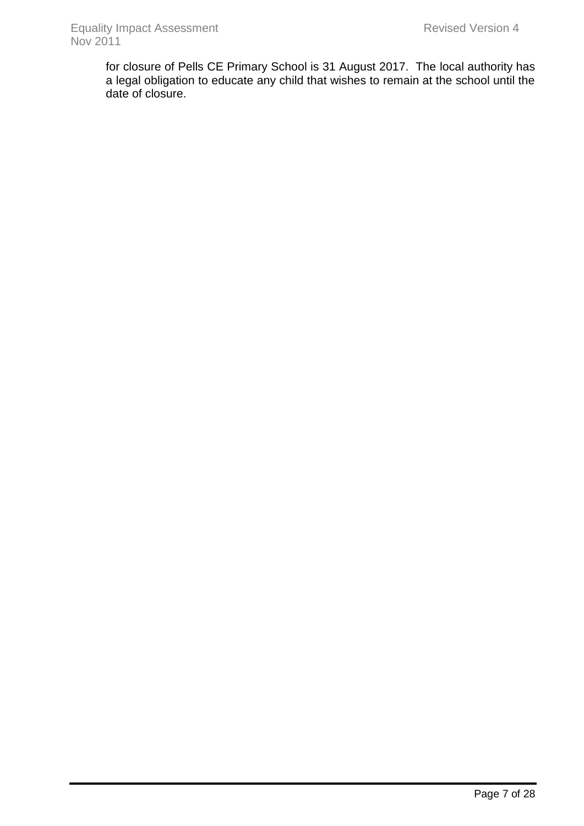for closure of Pells CE Primary School is 31 August 2017. The local authority has a legal obligation to educate any child that wishes to remain at the school until the date of closure.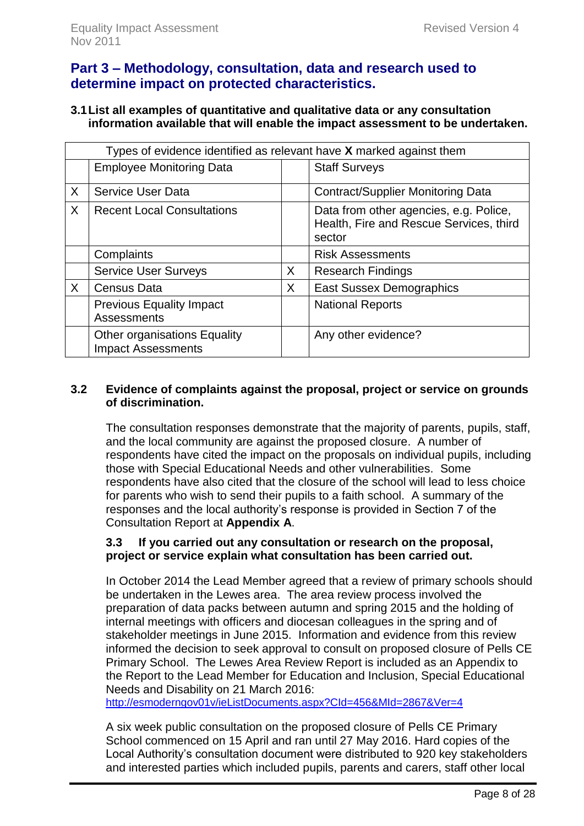# <span id="page-8-0"></span>**Part 3 – Methodology, consultation, data and research used to determine impact on protected characteristics.**

# **3.1List all examples of quantitative and qualitative data or any consultation information available that will enable the impact assessment to be undertaken.**

|   | Types of evidence identified as relevant have X marked against them |   |                                                                                             |  |  |  |  |  |  |
|---|---------------------------------------------------------------------|---|---------------------------------------------------------------------------------------------|--|--|--|--|--|--|
|   | <b>Employee Monitoring Data</b>                                     |   | <b>Staff Surveys</b>                                                                        |  |  |  |  |  |  |
| X | <b>Service User Data</b>                                            |   | <b>Contract/Supplier Monitoring Data</b>                                                    |  |  |  |  |  |  |
| X | <b>Recent Local Consultations</b>                                   |   | Data from other agencies, e.g. Police,<br>Health, Fire and Rescue Services, third<br>sector |  |  |  |  |  |  |
|   | Complaints                                                          |   | <b>Risk Assessments</b>                                                                     |  |  |  |  |  |  |
|   | <b>Service User Surveys</b>                                         | X | <b>Research Findings</b>                                                                    |  |  |  |  |  |  |
| X | <b>Census Data</b>                                                  | X | <b>East Sussex Demographics</b>                                                             |  |  |  |  |  |  |
|   | <b>Previous Equality Impact</b><br><b>Assessments</b>               |   | <b>National Reports</b>                                                                     |  |  |  |  |  |  |
|   | <b>Other organisations Equality</b><br><b>Impact Assessments</b>    |   | Any other evidence?                                                                         |  |  |  |  |  |  |

# **3.2 Evidence of complaints against the proposal, project or service on grounds of discrimination.**

The consultation responses demonstrate that the majority of parents, pupils, staff, and the local community are against the proposed closure. A number of respondents have cited the impact on the proposals on individual pupils, including those with Special Educational Needs and other vulnerabilities. Some respondents have also cited that the closure of the school will lead to less choice for parents who wish to send their pupils to a faith school. A summary of the responses and the local authority's response is provided in Section 7 of the Consultation Report at **Appendix A**.

# **3.3 If you carried out any consultation or research on the proposal, project or service explain what consultation has been carried out.**

In October 2014 the Lead Member agreed that a review of primary schools should be undertaken in the Lewes area. The area review process involved the preparation of data packs between autumn and spring 2015 and the holding of internal meetings with officers and diocesan colleagues in the spring and of stakeholder meetings in June 2015. Information and evidence from this review informed the decision to seek approval to consult on proposed closure of Pells CE Primary School. The Lewes Area Review Report is included as an Appendix to the Report to the Lead Member for Education and Inclusion, Special Educational Needs and Disability on 21 March 2016:

<http://esmoderngov01v/ieListDocuments.aspx?CId=456&MId=2867&Ver=4>

A six week public consultation on the proposed closure of Pells CE Primary School commenced on 15 April and ran until 27 May 2016. Hard copies of the Local Authority's consultation document were distributed to 920 key stakeholders and interested parties which included pupils, parents and carers, staff other local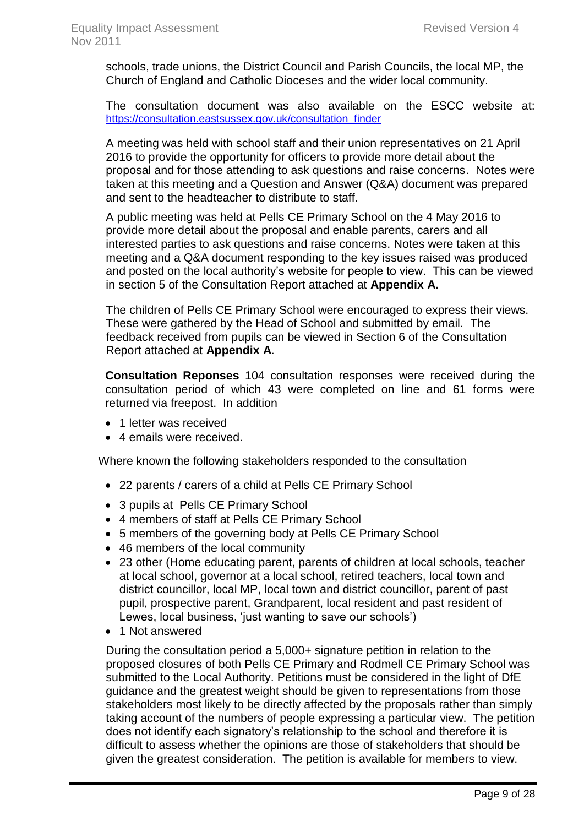schools, trade unions, the District Council and Parish Councils, the local MP, the Church of England and Catholic Dioceses and the wider local community.

The consultation document was also available on the ESCC website at: [https://consultation.eastsussex.gov.uk/consultation\\_finder](https://consultation.eastsussex.gov.uk/consultation_finder)

A meeting was held with school staff and their union representatives on 21 April 2016 to provide the opportunity for officers to provide more detail about the proposal and for those attending to ask questions and raise concerns. Notes were taken at this meeting and a Question and Answer (Q&A) document was prepared and sent to the headteacher to distribute to staff.

A public meeting was held at Pells CE Primary School on the 4 May 2016 to provide more detail about the proposal and enable parents, carers and all interested parties to ask questions and raise concerns. Notes were taken at this meeting and a Q&A document responding to the key issues raised was produced and posted on the local authority's website for people to view. This can be viewed in section 5 of the Consultation Report attached at **Appendix A.**

The children of Pells CE Primary School were encouraged to express their views. These were gathered by the Head of School and submitted by email. The feedback received from pupils can be viewed in Section 6 of the Consultation Report attached at **Appendix A**.

**Consultation Reponses** 104 consultation responses were received during the consultation period of which 43 were completed on line and 61 forms were returned via freepost. In addition

- 1 letter was received
- 4 emails were received.

Where known the following stakeholders responded to the consultation

- 22 parents / carers of a child at Pells CE Primary School
- 3 pupils at Pells CE Primary School
- 4 members of staff at Pells CE Primary School
- 5 members of the governing body at Pells CE Primary School
- 46 members of the local community
- 23 other (Home educating parent, parents of children at local schools, teacher at local school, governor at a local school, retired teachers, local town and district councillor, local MP, local town and district councillor, parent of past pupil, prospective parent, Grandparent, local resident and past resident of Lewes, local business, 'just wanting to save our schools')
- 1 Not answered

During the consultation period a 5,000+ signature petition in relation to the proposed closures of both Pells CE Primary and Rodmell CE Primary School was submitted to the Local Authority. Petitions must be considered in the light of DfE guidance and the greatest weight should be given to representations from those stakeholders most likely to be directly affected by the proposals rather than simply taking account of the numbers of people expressing a particular view. The petition does not identify each signatory's relationship to the school and therefore it is difficult to assess whether the opinions are those of stakeholders that should be given the greatest consideration. The petition is available for members to view.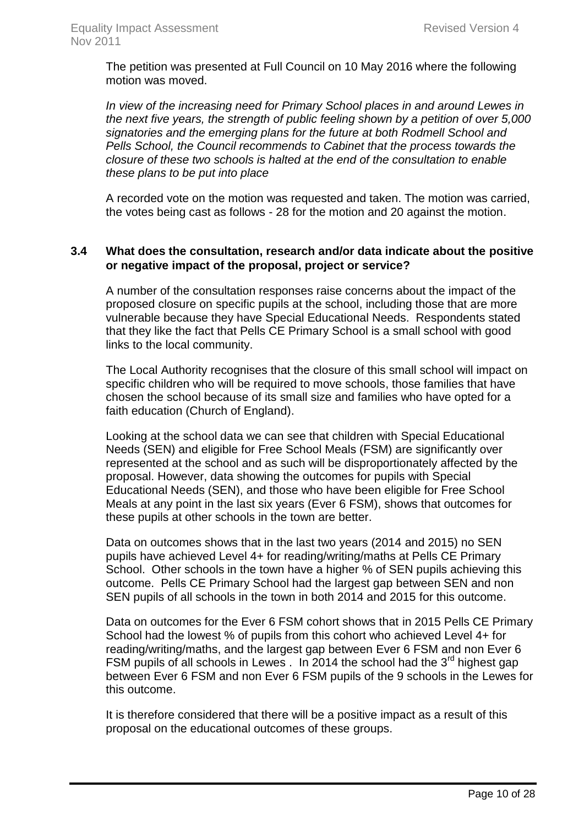The petition was presented at Full Council on 10 May 2016 where the following motion was moved.

*In view of the increasing need for Primary School places in and around Lewes in the next five years, the strength of public feeling shown by a petition of over 5,000 signatories and the emerging plans for the future at both Rodmell School and Pells School, the Council recommends to Cabinet that the process towards the closure of these two schools is halted at the end of the consultation to enable these plans to be put into place*

A recorded vote on the motion was requested and taken. The motion was carried, the votes being cast as follows - 28 for the motion and 20 against the motion.

### **3.4 What does the consultation, research and/or data indicate about the positive or negative impact of the proposal, project or service?**

A number of the consultation responses raise concerns about the impact of the proposed closure on specific pupils at the school, including those that are more vulnerable because they have Special Educational Needs. Respondents stated that they like the fact that Pells CE Primary School is a small school with good links to the local community.

The Local Authority recognises that the closure of this small school will impact on specific children who will be required to move schools, those families that have chosen the school because of its small size and families who have opted for a faith education (Church of England).

Looking at the school data we can see that children with Special Educational Needs (SEN) and eligible for Free School Meals (FSM) are significantly over represented at the school and as such will be disproportionately affected by the proposal. However, data showing the outcomes for pupils with Special Educational Needs (SEN), and those who have been eligible for Free School Meals at any point in the last six years (Ever 6 FSM), shows that outcomes for these pupils at other schools in the town are better.

Data on outcomes shows that in the last two years (2014 and 2015) no SEN pupils have achieved Level 4+ for reading/writing/maths at Pells CE Primary School. Other schools in the town have a higher % of SEN pupils achieving this outcome. Pells CE Primary School had the largest gap between SEN and non SEN pupils of all schools in the town in both 2014 and 2015 for this outcome.

Data on outcomes for the Ever 6 FSM cohort shows that in 2015 Pells CE Primary School had the lowest % of pupils from this cohort who achieved Level 4+ for reading/writing/maths, and the largest gap between Ever 6 FSM and non Ever 6 FSM pupils of all schools in Lewes . In 2014 the school had the  $3<sup>rd</sup>$  highest gap between Ever 6 FSM and non Ever 6 FSM pupils of the 9 schools in the Lewes for this outcome.

It is therefore considered that there will be a positive impact as a result of this proposal on the educational outcomes of these groups.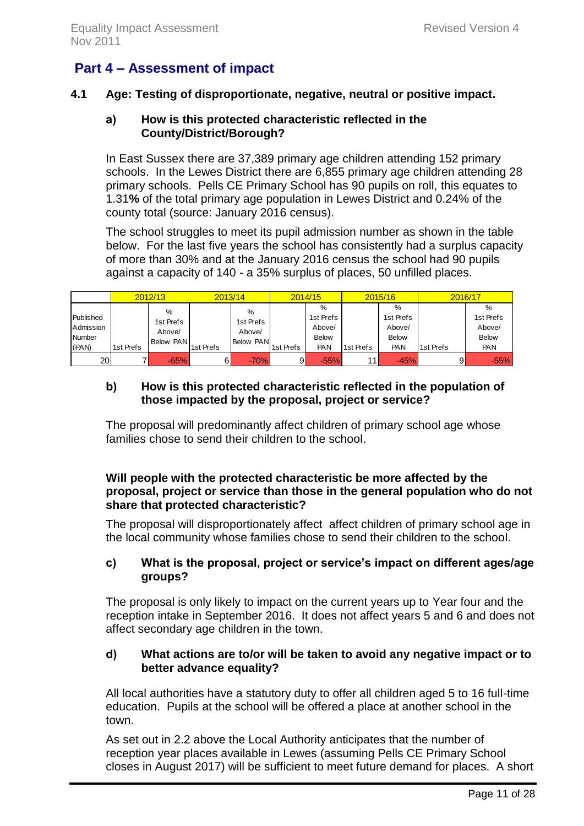# <span id="page-11-0"></span>**Part 4 – Assessment of impact**

# **4.1 Age: Testing of disproportionate, negative, neutral or positive impact.**

### **a) How is this protected characteristic reflected in the County/District/Borough?**

In East Sussex there are 37,389 primary age children attending 152 primary schools. In the Lewes District there are 6,855 primary age children attending 28 primary schools. Pells CE Primary School has 90 pupils on roll, this equates to 1.31**%** of the total primary age population in Lewes District and 0.24% of the county total (source: January 2016 census).

The school struggles to meet its pupil admission number as shown in the table below. For the last five years the school has consistently had a surplus capacity of more than 30% and at the January 2016 census the school had 90 pupils against a capacity of 140 - a 35% surplus of places, 50 unfilled places.

|                                           |           | 2012/13                               | 2013/14   |                                       |           | 2014/15                                         |           | 2015/16                                                   | 2016/17   |                                                        |
|-------------------------------------------|-----------|---------------------------------------|-----------|---------------------------------------|-----------|-------------------------------------------------|-----------|-----------------------------------------------------------|-----------|--------------------------------------------------------|
| Published<br>Admission<br>Number<br>(PAN) | 1st Prefs | %<br>1st Prefs<br>Above/<br>Below PAN | 1st Prefs | %<br>1st Prefs<br>Above/<br>Below PAN | 1st Prefs | %<br>1st Prefs<br>Above/<br><b>Below</b><br>PAN | 1st Prefs | $\%$<br>1st Prefs<br>Above/<br><b>Below</b><br><b>PAN</b> | 1st Prefs | %<br>1st Prefs<br>Above/<br><b>Below</b><br><b>PAN</b> |
| 20                                        |           | $-65%$                                | $6 \mid$  | $-70%$                                |           | $-55%$                                          | 11        | $-45%$                                                    | 91        | $-55%$                                                 |

# **b) How is this protected characteristic reflected in the population of those impacted by the proposal, project or service?**

The proposal will predominantly affect children of primary school age whose families chose to send their children to the school.

# **Will people with the protected characteristic be more affected by the proposal, project or service than those in the general population who do not share that protected characteristic?**

The proposal will disproportionately affect affect children of primary school age in the local community whose families chose to send their children to the school.

# **c) What is the proposal, project or service's impact on different ages/age groups?**

The proposal is only likely to impact on the current years up to Year four and the reception intake in September 2016. It does not affect years 5 and 6 and does not affect secondary age children in the town.

# **d) What actions are to/or will be taken to avoid any negative impact or to better advance equality?**

All local authorities have a statutory duty to offer all children aged 5 to 16 full-time education. Pupils at the school will be offered a place at another school in the town.

As set out in 2.2 above the Local Authority anticipates that the number of reception year places available in Lewes (assuming Pells CE Primary School closes in August 2017) will be sufficient to meet future demand for places. A short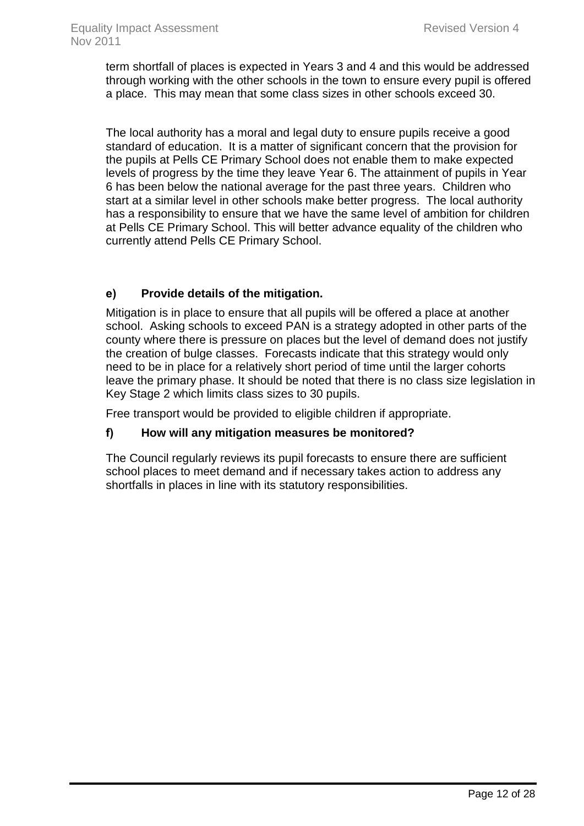term shortfall of places is expected in Years 3 and 4 and this would be addressed through working with the other schools in the town to ensure every pupil is offered a place. This may mean that some class sizes in other schools exceed 30.

The local authority has a moral and legal duty to ensure pupils receive a good standard of education. It is a matter of significant concern that the provision for the pupils at Pells CE Primary School does not enable them to make expected levels of progress by the time they leave Year 6. The attainment of pupils in Year 6 has been below the national average for the past three years. Children who start at a similar level in other schools make better progress. The local authority has a responsibility to ensure that we have the same level of ambition for children at Pells CE Primary School. This will better advance equality of the children who currently attend Pells CE Primary School.

# **e) Provide details of the mitigation.**

Mitigation is in place to ensure that all pupils will be offered a place at another school. Asking schools to exceed PAN is a strategy adopted in other parts of the county where there is pressure on places but the level of demand does not justify the creation of bulge classes. Forecasts indicate that this strategy would only need to be in place for a relatively short period of time until the larger cohorts leave the primary phase. It should be noted that there is no class size legislation in Key Stage 2 which limits class sizes to 30 pupils.

Free transport would be provided to eligible children if appropriate.

# **f) How will any mitigation measures be monitored?**

The Council regularly reviews its pupil forecasts to ensure there are sufficient school places to meet demand and if necessary takes action to address any shortfalls in places in line with its statutory responsibilities.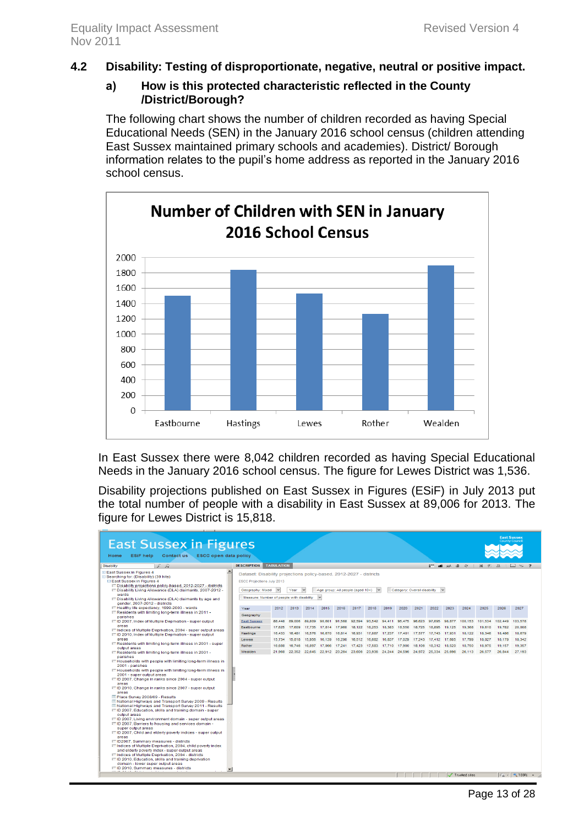#### **4.2 Disability: Testing of disproportionate, negative, neutral or positive impact.**

#### **a) How is this protected characteristic reflected in the County /District/Borough?**

The following chart shows the number of children recorded as having Special Educational Needs (SEN) in the January 2016 school census (children attending East Sussex maintained primary schools and academies). District/ Borough information relates to the pupil's home address as reported in the January 2016 school census.



In East Sussex there were 8,042 children recorded as having Special Educational Needs in the January 2016 school census. The figure for Lewes District was 1,536.

Disability projections published on East Sussex in Figures (ESiF) in July 2013 put the total number of people with a disability in East Sussex at 89,006 for 2013. The figure for Lewes District is 15,818.

| <b>East Sussex in Figures</b><br>ESiF help Contact us ESCC open data policy<br>Home                                                                                                                                                                                                                                                                                                                                                                                                                                                                                                                                                                                                                                                                                                                                                                                                                                                                                                                                                                                                                                                                           |                                                                                                                                                                                                |                   |                                                                                               |        |                                  |        |        |               |               |        |                              |               |        |                  |                                                                        |                  | <b>East Sussex</b><br><b>County Council</b> |
|---------------------------------------------------------------------------------------------------------------------------------------------------------------------------------------------------------------------------------------------------------------------------------------------------------------------------------------------------------------------------------------------------------------------------------------------------------------------------------------------------------------------------------------------------------------------------------------------------------------------------------------------------------------------------------------------------------------------------------------------------------------------------------------------------------------------------------------------------------------------------------------------------------------------------------------------------------------------------------------------------------------------------------------------------------------------------------------------------------------------------------------------------------------|------------------------------------------------------------------------------------------------------------------------------------------------------------------------------------------------|-------------------|-----------------------------------------------------------------------------------------------|--------|----------------------------------|--------|--------|---------------|---------------|--------|------------------------------|---------------|--------|------------------|------------------------------------------------------------------------|------------------|---------------------------------------------|
| 2R<br><b>Disability</b>                                                                                                                                                                                                                                                                                                                                                                                                                                                                                                                                                                                                                                                                                                                                                                                                                                                                                                                                                                                                                                                                                                                                       | <b>DESCRIPTION</b>                                                                                                                                                                             | <b>TABULATION</b> |                                                                                               |        |                                  |        |        |               |               |        |                              |               |        |                  | $T \cup \mathbb{R} \times \mathbb{R}$ and $\mathbb{R}$ in $\mathbb{R}$ |                  | 24.9                                        |
| E East Sussex in Figures 4<br>□ Searching for: (Disability) (39 hits)<br><b>□ East Sussex in Figures 4</b><br>ET Disability projections policy-based, 2012-2027 - districts<br>F" Disability Living Allowance (DLA) claimants, 2007-2012 -<br>wards<br>ET Disability Living Allowance (DLA) claimants by age and<br>gender. 2007-2012 - districts                                                                                                                                                                                                                                                                                                                                                                                                                                                                                                                                                                                                                                                                                                                                                                                                             | $\overline{\phantom{a}}$<br>Dataset: Disability projections policy-based, 2012-2027 - districts<br>ESCC Projections July 2013<br>Geography: Mixed<br>Measure: Number of people with disability |                   | Year                                                                                          |        | Age group: All people (aged 10+) |        |        |               |               |        | Category: Overall disability |               |        |                  |                                                                        |                  |                                             |
| EE Healthy life expectancy, 1999-2003 - wards                                                                                                                                                                                                                                                                                                                                                                                                                                                                                                                                                                                                                                                                                                                                                                                                                                                                                                                                                                                                                                                                                                                 | Year                                                                                                                                                                                           | 2012              | 2013                                                                                          | 2014   | 2015                             | 2016   | 2017   | 2018          | 2019          | 2020   | 2021                         | 2022          | 2023   | 2024             | 2025                                                                   | 2026             | 2027                                        |
| ET Residents with limiting long-term illness in 2011 -<br>parishes                                                                                                                                                                                                                                                                                                                                                                                                                                                                                                                                                                                                                                                                                                                                                                                                                                                                                                                                                                                                                                                                                            | Geography                                                                                                                                                                                      |                   |                                                                                               |        |                                  |        |        |               |               |        |                              |               |        |                  |                                                                        |                  |                                             |
| ET ID 2007, Index of Multiple Deprivation - super output                                                                                                                                                                                                                                                                                                                                                                                                                                                                                                                                                                                                                                                                                                                                                                                                                                                                                                                                                                                                                                                                                                      | <b>East Sussex</b>                                                                                                                                                                             |                   | 88.448 89.006                                                                                 | 89.809 | 90,601                           | 91.568 |        | 92.594 93.542 | 94.411 95.475 |        | 96,623                       | 97.695        | 98,877 | 100.153          | 101.534                                                                | 102.449          | 103,578                                     |
| areas                                                                                                                                                                                                                                                                                                                                                                                                                                                                                                                                                                                                                                                                                                                                                                                                                                                                                                                                                                                                                                                                                                                                                         | Eastbourne                                                                                                                                                                                     | 17,625            | 17.609                                                                                        | 17.735 | 17814                            | 17.960 | 18.122 | 18.253        | 18.383        | 18.550 | 18.725                       | 18.895        | 19.125 | 19,368           | 19,610                                                                 | 19,782           | 20,008                                      |
| Fill Indices of Multiple Deprivation, 2004 - super output areas                                                                                                                                                                                                                                                                                                                                                                                                                                                                                                                                                                                                                                                                                                                                                                                                                                                                                                                                                                                                                                                                                               | Hastings                                                                                                                                                                                       | 16,433            | 16.481                                                                                        | 16.576 | 16.670                           | 16,814 | 16.931 | 17,087        | 17,237        | 17.401 | 17,577                       | 17.743        | 17.931 | 18,122           | 18,346                                                                 | 18,486           | 18,679                                      |
| IT ID 2010, Index of Multiple Deprivation - super output<br>areas                                                                                                                                                                                                                                                                                                                                                                                                                                                                                                                                                                                                                                                                                                                                                                                                                                                                                                                                                                                                                                                                                             | Lewes                                                                                                                                                                                          | 15,734            | 15,818                                                                                        | 15,956 | 16,139                           | 16,290 | 16,512 | 16,682        | 16,837        | 17,029 | 17,243                       | 17,412        | 17,605 | 17,799           | 18,027                                                                 | 18,179           | 18,342                                      |
| FF Residents with limiting long-term illness in 2001 - super                                                                                                                                                                                                                                                                                                                                                                                                                                                                                                                                                                                                                                                                                                                                                                                                                                                                                                                                                                                                                                                                                                  |                                                                                                                                                                                                |                   |                                                                                               |        |                                  |        |        |               |               |        |                              |               |        |                  |                                                                        |                  |                                             |
| output areas<br>E Residents with limiting long-term illness in 2001 -                                                                                                                                                                                                                                                                                                                                                                                                                                                                                                                                                                                                                                                                                                                                                                                                                                                                                                                                                                                                                                                                                         | Rother<br>Wealden                                                                                                                                                                              | 16,688            | 16.746<br>21.968 22.352 22.645 22.912 23.264 23.606 23.936 24.244 24.596 24.972 25.334 25.696 |        | 16.897 17.066                    | 17,241 | 17.423 | 17.583        | 17.710 17.900 |        | 18.106                       | 18.312 18.520 |        | 18.750<br>26.113 | 18.975<br>26,577                                                       | 19.157<br>26,844 | 19.357<br>27.193                            |
| parishes<br>E Households with people with limiting long-term illness in<br>2001 - parishes<br>ET Households with people with limiting long-term illness in<br>2001 - super output areas<br>III ID 2007, Change in ranks since 2004 - super output<br>areas<br>IT ID 2010, Change in ranks since 2007 - super output<br>areas<br>El Place Survey 2008/09 - Results<br>Mational Highways and Transport Survey 2009 - Results<br>Mational Highways and Transport Survey 2011 - Results<br>EE ID 2007, Education, skills and training domain - super<br>output areas<br>ET ID 2007, Living environment domain - super output areas<br>ET ID 2007, Barriers to housing and services domain -<br>super output areas<br>Film 2007, Child and elderly poverty indices - super output<br>areas<br><b>ET ID2007. Summary measures - districts</b><br>ET Indices of Multiple Deprivation, 2004, child poverty index<br>and elderly poverty index - super output areas<br>ET Indices of Multiple Deprivation, 2004 - districts<br>EE ID 2010, Education, skills and training deprivation<br>domain - lower super output areas<br>ET ID 2010, Summary measures - districts | $\overline{ }$                                                                                                                                                                                 |                   |                                                                                               |        |                                  |        |        |               |               |        |                              |               |        |                  |                                                                        |                  |                                             |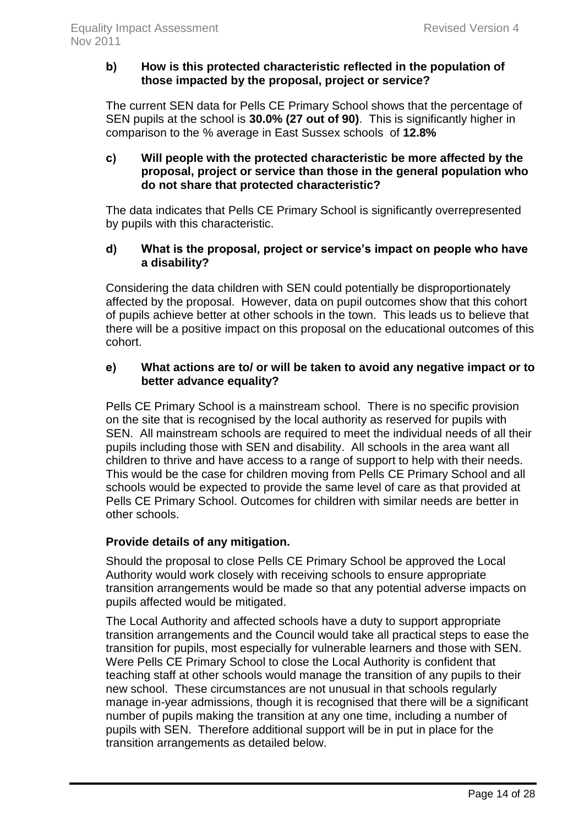# **b) How is this protected characteristic reflected in the population of those impacted by the proposal, project or service?**

The current SEN data for Pells CE Primary School shows that the percentage of SEN pupils at the school is **30.0% (27 out of 90)**. This is significantly higher in comparison to the % average in East Sussex schools of **12.8%**

# **c) Will people with the protected characteristic be more affected by the proposal, project or service than those in the general population who do not share that protected characteristic?**

The data indicates that Pells CE Primary School is significantly overrepresented by pupils with this characteristic.

# **d) What is the proposal, project or service's impact on people who have a disability?**

Considering the data children with SEN could potentially be disproportionately affected by the proposal. However, data on pupil outcomes show that this cohort of pupils achieve better at other schools in the town. This leads us to believe that there will be a positive impact on this proposal on the educational outcomes of this cohort.

# **e) What actions are to/ or will be taken to avoid any negative impact or to better advance equality?**

Pells CE Primary School is a mainstream school. There is no specific provision on the site that is recognised by the local authority as reserved for pupils with SEN. All mainstream schools are required to meet the individual needs of all their pupils including those with SEN and disability. All schools in the area want all children to thrive and have access to a range of support to help with their needs. This would be the case for children moving from Pells CE Primary School and all schools would be expected to provide the same level of care as that provided at Pells CE Primary School. Outcomes for children with similar needs are better in other schools.

# **Provide details of any mitigation.**

Should the proposal to close Pells CE Primary School be approved the Local Authority would work closely with receiving schools to ensure appropriate transition arrangements would be made so that any potential adverse impacts on pupils affected would be mitigated.

The Local Authority and affected schools have a duty to support appropriate transition arrangements and the Council would take all practical steps to ease the transition for pupils, most especially for vulnerable learners and those with SEN. Were Pells CE Primary School to close the Local Authority is confident that teaching staff at other schools would manage the transition of any pupils to their new school. These circumstances are not unusual in that schools regularly manage in-year admissions, though it is recognised that there will be a significant number of pupils making the transition at any one time, including a number of pupils with SEN. Therefore additional support will be in put in place for the transition arrangements as detailed below.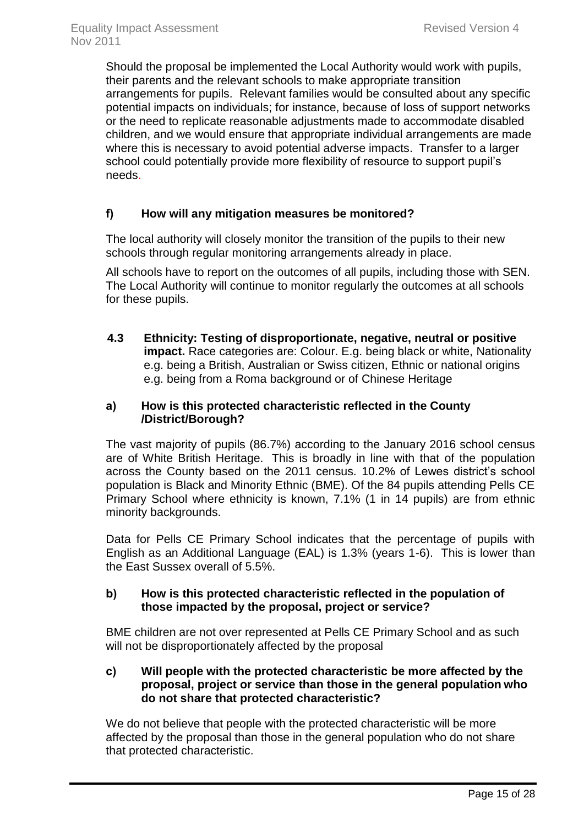Should the proposal be implemented the Local Authority would work with pupils, their parents and the relevant schools to make appropriate transition arrangements for pupils. Relevant families would be consulted about any specific potential impacts on individuals; for instance, because of loss of support networks or the need to replicate reasonable adjustments made to accommodate disabled children, and we would ensure that appropriate individual arrangements are made where this is necessary to avoid potential adverse impacts. Transfer to a larger school could potentially provide more flexibility of resource to support pupil's needs.

# **f) How will any mitigation measures be monitored?**

The local authority will closely monitor the transition of the pupils to their new schools through regular monitoring arrangements already in place.

All schools have to report on the outcomes of all pupils, including those with SEN. The Local Authority will continue to monitor regularly the outcomes at all schools for these pupils.

**4.3 Ethnicity: Testing of disproportionate, negative, neutral or positive impact.** Race categories are: Colour. E.g. being black or white, Nationality e.g. being a British, Australian or Swiss citizen, Ethnic or national origins e.g. being from a Roma background or of Chinese Heritage

# **a) How is this protected characteristic reflected in the County /District/Borough?**

The vast majority of pupils (86.7%) according to the January 2016 school census are of White British Heritage. This is broadly in line with that of the population across the County based on the 2011 census. 10.2% of Lewes district's school population is Black and Minority Ethnic (BME). Of the 84 pupils attending Pells CE Primary School where ethnicity is known, 7.1% (1 in 14 pupils) are from ethnic minority backgrounds.

Data for Pells CE Primary School indicates that the percentage of pupils with English as an Additional Language (EAL) is 1.3% (years 1-6). This is lower than the East Sussex overall of 5.5%.

# **b) How is this protected characteristic reflected in the population of those impacted by the proposal, project or service?**

BME children are not over represented at Pells CE Primary School and as such will not be disproportionately affected by the proposal

### **c) Will people with the protected characteristic be more affected by the proposal, project or service than those in the general population who do not share that protected characteristic?**

We do not believe that people with the protected characteristic will be more affected by the proposal than those in the general population who do not share that protected characteristic.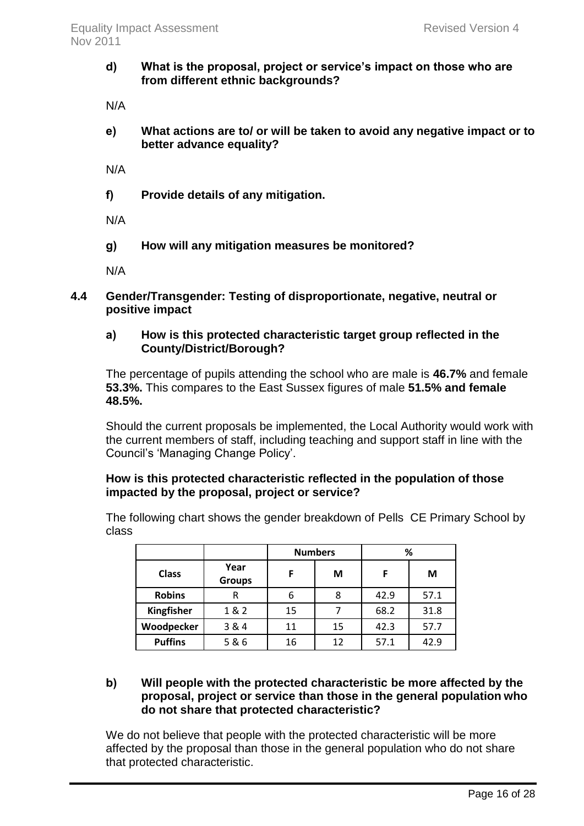# **d) What is the proposal, project or service's impact on those who are from different ethnic backgrounds?**

N/A

**e) What actions are to/ or will be taken to avoid any negative impact or to better advance equality?**

N/A

**f) Provide details of any mitigation.**

N/A

**g) How will any mitigation measures be monitored?**

N/A

**4.4 Gender/Transgender: Testing of disproportionate, negative, neutral or positive impact**

# **a) How is this protected characteristic target group reflected in the County/District/Borough?**

The percentage of pupils attending the school who are male is **46.7%** and female **53.3%.** This compares to the East Sussex figures of male **51.5% and female 48.5%.**

Should the current proposals be implemented, the Local Authority would work with the current members of staff, including teaching and support staff in line with the Council's 'Managing Change Policy'.

# **How is this protected characteristic reflected in the population of those impacted by the proposal, project or service?**

The following chart shows the gender breakdown of Pells CE Primary School by class

|                   |                       |    | <b>Numbers</b> | %    |      |  |
|-------------------|-----------------------|----|----------------|------|------|--|
| <b>Class</b>      | Year<br><b>Groups</b> | F  | М              | F    | М    |  |
| <b>Robins</b>     | R                     | 6  | 8              | 42.9 | 57.1 |  |
| <b>Kingfisher</b> | 1 & 2                 | 15 |                | 68.2 | 31.8 |  |
| Woodpecker        | 3 & 4                 | 11 | 15             | 42.3 | 57.7 |  |
| <b>Puffins</b>    | 5 & 6                 | 16 | 12             | 57.1 | 42.9 |  |

### **b) Will people with the protected characteristic be more affected by the proposal, project or service than those in the general population who do not share that protected characteristic?**

We do not believe that people with the protected characteristic will be more affected by the proposal than those in the general population who do not share that protected characteristic.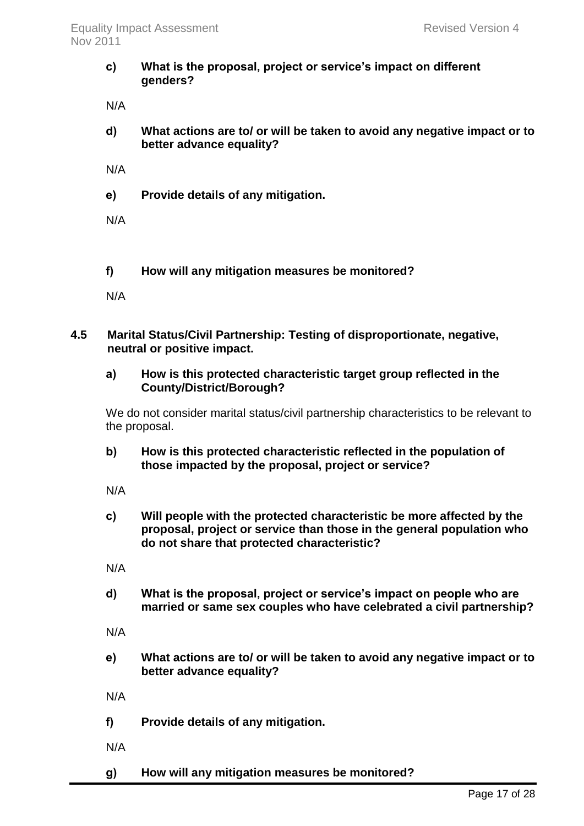**c) What is the proposal, project or service's impact on different genders?** 

N/A

**d) What actions are to/ or will be taken to avoid any negative impact or to better advance equality?** 

N/A

**e) Provide details of any mitigation.**

N/A

**f) How will any mitigation measures be monitored?** 

N/A

# **4.5 Marital Status/Civil Partnership: Testing of disproportionate, negative, neutral or positive impact.**

### **a) How is this protected characteristic target group reflected in the County/District/Borough?**

We do not consider marital status/civil partnership characteristics to be relevant to the proposal.

**b) How is this protected characteristic reflected in the population of those impacted by the proposal, project or service?**

N/A

**c) Will people with the protected characteristic be more affected by the proposal, project or service than those in the general population who do not share that protected characteristic?** 

N/A

**d) What is the proposal, project or service's impact on people who are married or same sex couples who have celebrated a civil partnership?** 

N/A

**e) What actions are to/ or will be taken to avoid any negative impact or to better advance equality?** 

N/A

- **f) Provide details of any mitigation.**
- N/A
- **g) How will any mitigation measures be monitored?**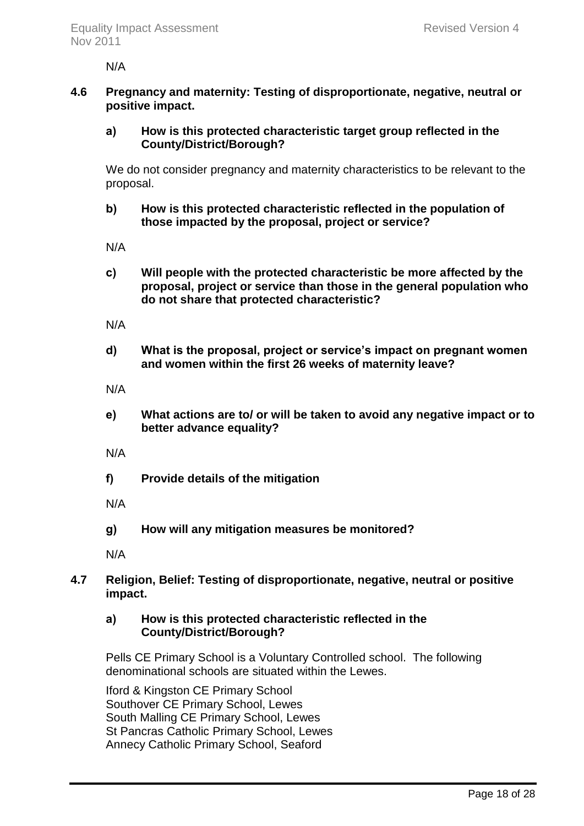N/A

# **4.6 Pregnancy and maternity: Testing of disproportionate, negative, neutral or positive impact.**

# **a) How is this protected characteristic target group reflected in the County/District/Borough?**

We do not consider pregnancy and maternity characteristics to be relevant to the proposal.

# **b) How is this protected characteristic reflected in the population of those impacted by the proposal, project or service?**

N/A

**c) Will people with the protected characteristic be more affected by the proposal, project or service than those in the general population who do not share that protected characteristic?**

N/A

**d) What is the proposal, project or service's impact on pregnant women and women within the first 26 weeks of maternity leave?** 

N/A

**e) What actions are to/ or will be taken to avoid any negative impact or to better advance equality?** 

N/A

**f) Provide details of the mitigation** 

N/A

**g) How will any mitigation measures be monitored?** 

N/A

# **4.7 Religion, Belief: Testing of disproportionate, negative, neutral or positive impact.**

#### **a) How is this protected characteristic reflected in the County/District/Borough?**

Pells CE Primary School is a Voluntary Controlled school. The following denominational schools are situated within the Lewes.

Iford & Kingston CE Primary School Southover CE Primary School, Lewes South Malling CE Primary School, Lewes St Pancras Catholic Primary School, Lewes Annecy Catholic Primary School, Seaford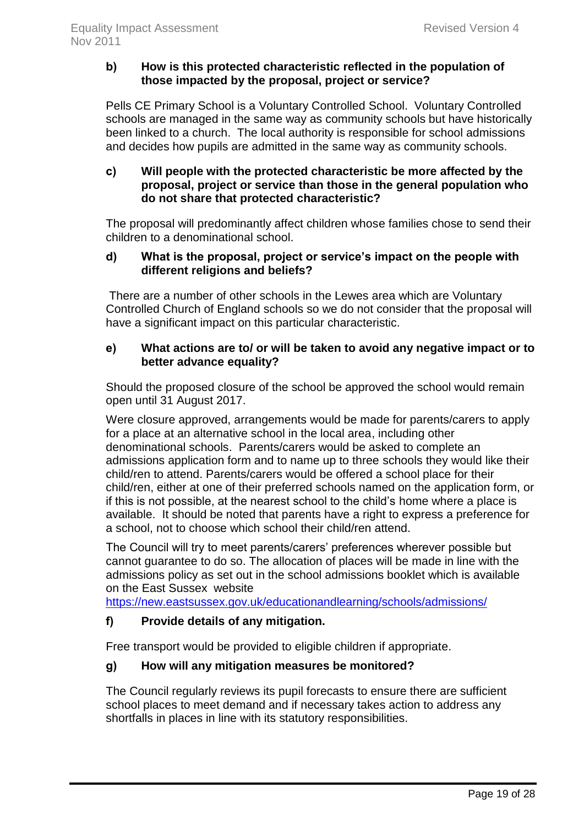# **b) How is this protected characteristic reflected in the population of those impacted by the proposal, project or service?**

Pells CE Primary School is a Voluntary Controlled School. Voluntary Controlled schools are managed in the same way as community schools but have historically been linked to a church. The local authority is responsible for school admissions and decides how pupils are admitted in the same way as community schools.

# **c) Will people with the protected characteristic be more affected by the proposal, project or service than those in the general population who do not share that protected characteristic?**

The proposal will predominantly affect children whose families chose to send their children to a denominational school.

# **d) What is the proposal, project or service's impact on the people with different religions and beliefs?**

There are a number of other schools in the Lewes area which are Voluntary Controlled Church of England schools so we do not consider that the proposal will have a significant impact on this particular characteristic.

# **e) What actions are to/ or will be taken to avoid any negative impact or to better advance equality?**

Should the proposed closure of the school be approved the school would remain open until 31 August 2017.

Were closure approved, arrangements would be made for parents/carers to apply for a place at an alternative school in the local area, including other denominational schools. Parents/carers would be asked to complete an admissions application form and to name up to three schools they would like their child/ren to attend. Parents/carers would be offered a school place for their child/ren, either at one of their preferred schools named on the application form, or if this is not possible, at the nearest school to the child's home where a place is available. It should be noted that parents have a right to express a preference for a school, not to choose which school their child/ren attend.

The Council will try to meet parents/carers' preferences wherever possible but cannot guarantee to do so. The allocation of places will be made in line with the admissions policy as set out in the school admissions booklet which is available on the East Sussex website

<https://new.eastsussex.gov.uk/educationandlearning/schools/admissions/>

# **f) Provide details of any mitigation.**

Free transport would be provided to eligible children if appropriate.

# **g) How will any mitigation measures be monitored?**

The Council regularly reviews its pupil forecasts to ensure there are sufficient school places to meet demand and if necessary takes action to address any shortfalls in places in line with its statutory responsibilities.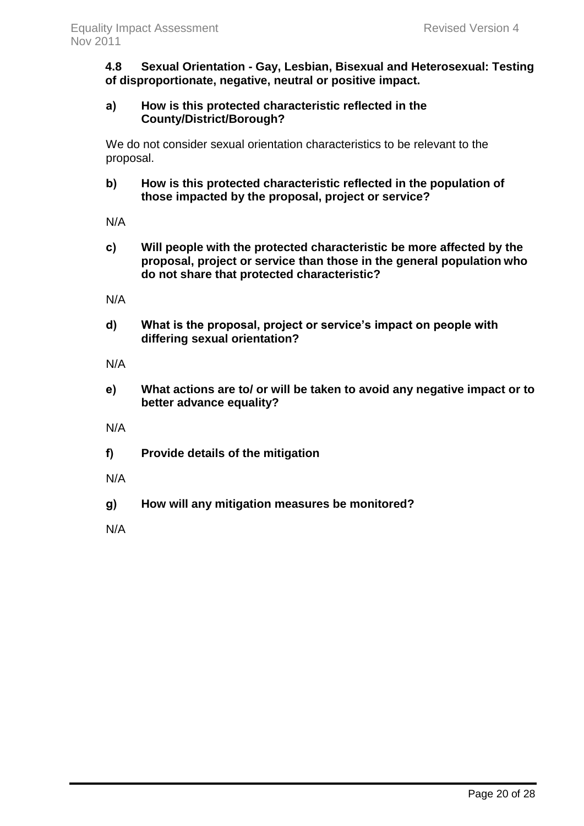**4.8 Sexual Orientation - Gay, Lesbian, Bisexual and Heterosexual: Testing of disproportionate, negative, neutral or positive impact.** 

# **a) How is this protected characteristic reflected in the County/District/Borough?**

We do not consider sexual orientation characteristics to be relevant to the proposal.

**b) How is this protected characteristic reflected in the population of those impacted by the proposal, project or service?**

N/A

**c) Will people with the protected characteristic be more affected by the proposal, project or service than those in the general population who do not share that protected characteristic?** 

N/A

**d) What is the proposal, project or service's impact on people with differing sexual orientation?** 

N/A

- **e) What actions are to/ or will be taken to avoid any negative impact or to better advance equality?**
- N/A
- **f) Provide details of the mitigation**
- N/A
- **g) How will any mitigation measures be monitored?**

N/A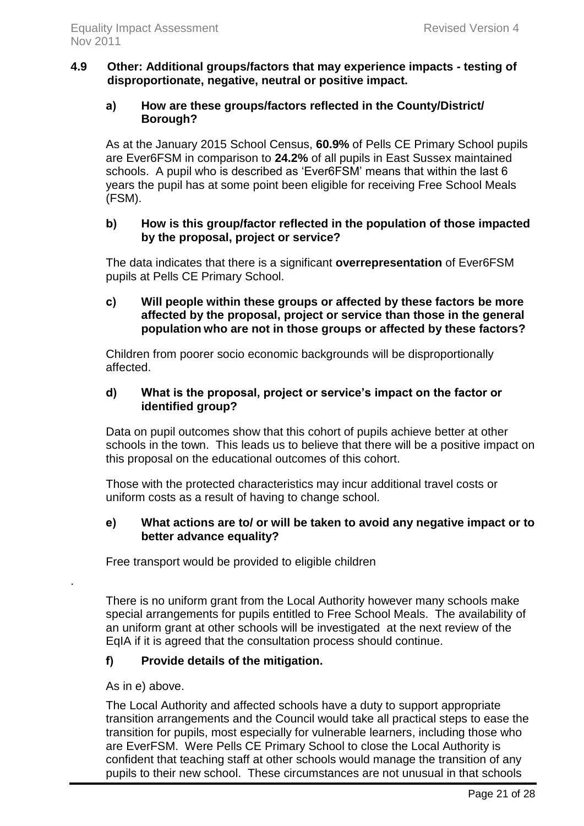# **4.9 Other: Additional groups/factors that may experience impacts - testing of disproportionate, negative, neutral or positive impact.**

# **a) How are these groups/factors reflected in the County/District/ Borough?**

As at the January 2015 School Census, **60.9%** of Pells CE Primary School pupils are Ever6FSM in comparison to **24.2%** of all pupils in East Sussex maintained schools. A pupil who is described as 'Ever6FSM' means that within the last 6 years the pupil has at some point been eligible for receiving Free School Meals (FSM).

### **b) How is this group/factor reflected in the population of those impacted by the proposal, project or service?**

The data indicates that there is a significant **overrepresentation** of Ever6FSM pupils at Pells CE Primary School.

# **c) Will people within these groups or affected by these factors be more affected by the proposal, project or service than those in the general population who are not in those groups or affected by these factors?**

Children from poorer socio economic backgrounds will be disproportionally affected.

# **d) What is the proposal, project or service's impact on the factor or identified group?**

Data on pupil outcomes show that this cohort of pupils achieve better at other schools in the town. This leads us to believe that there will be a positive impact on this proposal on the educational outcomes of this cohort.

Those with the protected characteristics may incur additional travel costs or uniform costs as a result of having to change school.

# **e) What actions are to/ or will be taken to avoid any negative impact or to better advance equality?**

Free transport would be provided to eligible children

There is no uniform grant from the Local Authority however many schools make special arrangements for pupils entitled to Free School Meals. The availability of an uniform grant at other schools will be investigated at the next review of the EqIA if it is agreed that the consultation process should continue.

# **f) Provide details of the mitigation.**

# As in e) above.

.

The Local Authority and affected schools have a duty to support appropriate transition arrangements and the Council would take all practical steps to ease the transition for pupils, most especially for vulnerable learners, including those who are EverFSM. Were Pells CE Primary School to close the Local Authority is confident that teaching staff at other schools would manage the transition of any pupils to their new school. These circumstances are not unusual in that schools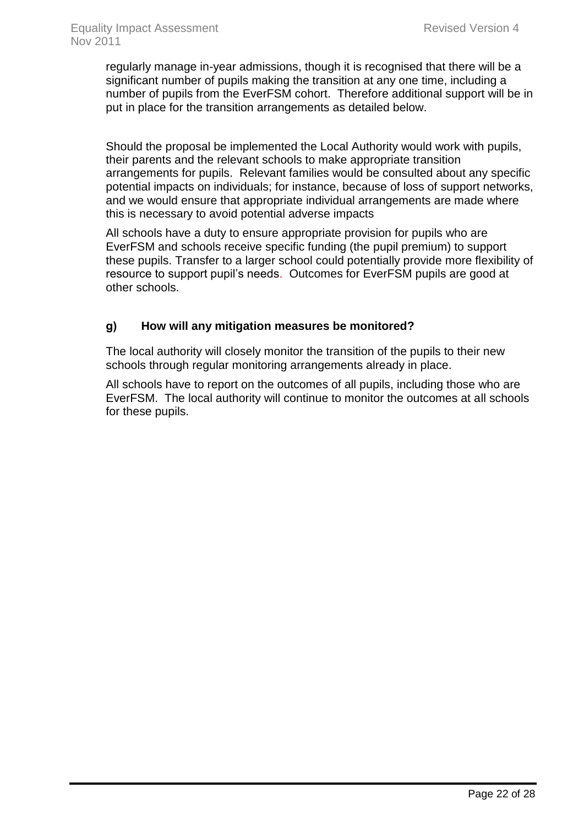regularly manage in-year admissions, though it is recognised that there will be a significant number of pupils making the transition at any one time, including a number of pupils from the EverFSM cohort. Therefore additional support will be in put in place for the transition arrangements as detailed below.

Should the proposal be implemented the Local Authority would work with pupils, their parents and the relevant schools to make appropriate transition arrangements for pupils. Relevant families would be consulted about any specific potential impacts on individuals; for instance, because of loss of support networks, and we would ensure that appropriate individual arrangements are made where this is necessary to avoid potential adverse impacts

All schools have a duty to ensure appropriate provision for pupils who are EverFSM and schools receive specific funding (the pupil premium) to support these pupils. Transfer to a larger school could potentially provide more flexibility of resource to support pupil's needs. Outcomes for EverFSM pupils are good at other schools.

# **g) How will any mitigation measures be monitored?**

The local authority will closely monitor the transition of the pupils to their new schools through regular monitoring arrangements already in place.

All schools have to report on the outcomes of all pupils, including those who are EverFSM. The local authority will continue to monitor the outcomes at all schools for these pupils.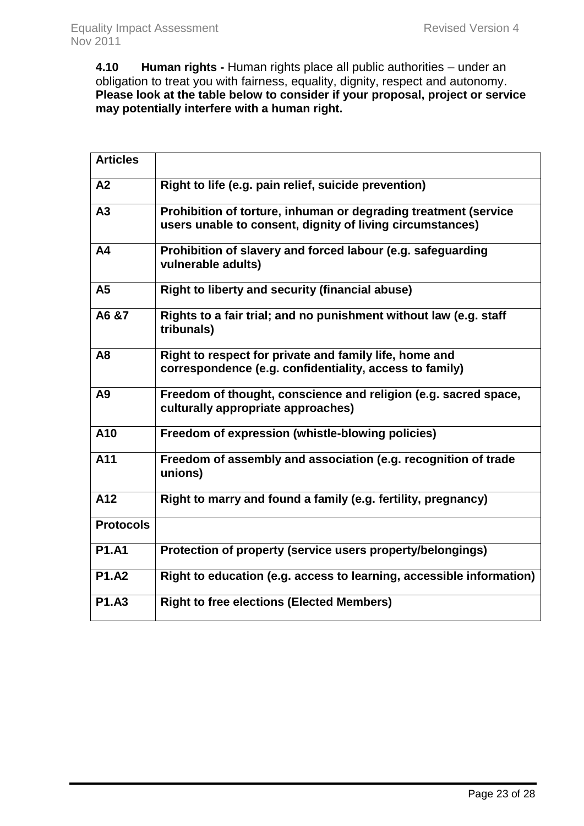**4.10 Human rights -** Human rights place all public authorities – under an obligation to treat you with fairness, equality, dignity, respect and autonomy. **Please look at the table below to consider if your proposal, project or service may potentially interfere with a human right.** 

| <b>Articles</b>  |                                                                                                                              |
|------------------|------------------------------------------------------------------------------------------------------------------------------|
| A <sub>2</sub>   | Right to life (e.g. pain relief, suicide prevention)                                                                         |
| A3               | Prohibition of torture, inhuman or degrading treatment (service<br>users unable to consent, dignity of living circumstances) |
| A <sub>4</sub>   | Prohibition of slavery and forced labour (e.g. safeguarding<br>vulnerable adults)                                            |
| A <sub>5</sub>   | <b>Right to liberty and security (financial abuse)</b>                                                                       |
| A6 &7            | Rights to a fair trial; and no punishment without law (e.g. staff<br>tribunals)                                              |
| A <sub>8</sub>   | Right to respect for private and family life, home and<br>correspondence (e.g. confidentiality, access to family)            |
| A9               | Freedom of thought, conscience and religion (e.g. sacred space,<br>culturally appropriate approaches)                        |
| A10              | Freedom of expression (whistle-blowing policies)                                                                             |
| A11              | Freedom of assembly and association (e.g. recognition of trade<br>unions)                                                    |
| A12              | Right to marry and found a family (e.g. fertility, pregnancy)                                                                |
| <b>Protocols</b> |                                                                                                                              |
| <b>P1.A1</b>     | Protection of property (service users property/belongings)                                                                   |
| <b>P1.A2</b>     | Right to education (e.g. access to learning, accessible information)                                                         |
| <b>P1.A3</b>     | <b>Right to free elections (Elected Members)</b>                                                                             |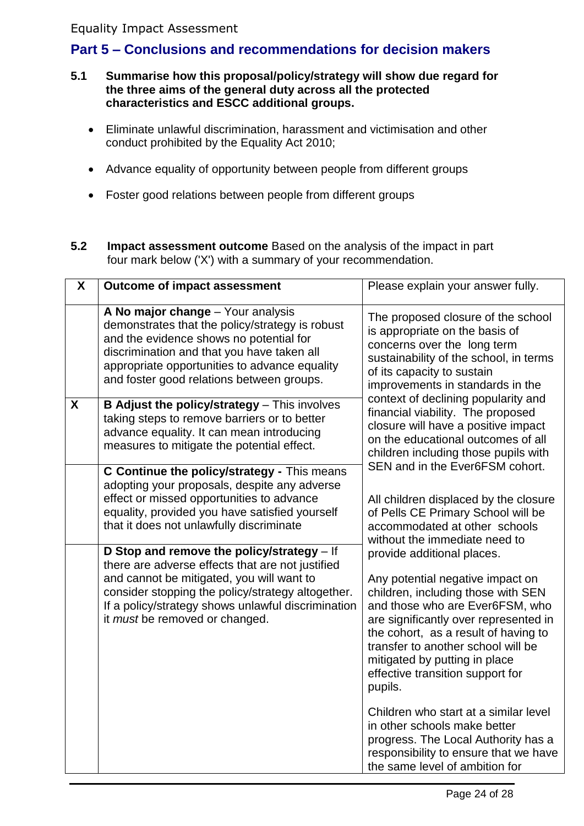# Equality Impact Assessment

# <span id="page-24-0"></span>**Part 5 – Conclusions and recommendations for decision makers**

- **5.1 Summarise how this proposal/policy/strategy will show due regard for the three aims of the general duty across all the protected characteristics and ESCC additional groups.**
	- Eliminate unlawful discrimination, harassment and victimisation and other conduct prohibited by the Equality Act 2010;
	- Advance equality of opportunity between people from different groups
	- Foster good relations between people from different groups
- **5.2 Impact assessment outcome** Based on the analysis of the impact in part four mark below ('X') with a summary of your recommendation.

| X                | <b>Outcome of impact assessment</b>                                                                                                                                                                                                                                                                                                                                                                                                                                                                                                  | Please explain your answer fully.                                                                                                                                                                                                                                                                                                                                                                                                                                                                                                                                                                                                                                                           |
|------------------|--------------------------------------------------------------------------------------------------------------------------------------------------------------------------------------------------------------------------------------------------------------------------------------------------------------------------------------------------------------------------------------------------------------------------------------------------------------------------------------------------------------------------------------|---------------------------------------------------------------------------------------------------------------------------------------------------------------------------------------------------------------------------------------------------------------------------------------------------------------------------------------------------------------------------------------------------------------------------------------------------------------------------------------------------------------------------------------------------------------------------------------------------------------------------------------------------------------------------------------------|
|                  | A No major change - Your analysis<br>demonstrates that the policy/strategy is robust<br>and the evidence shows no potential for<br>discrimination and that you have taken all<br>appropriate opportunities to advance equality<br>and foster good relations between groups.                                                                                                                                                                                                                                                          | The proposed closure of the school<br>is appropriate on the basis of<br>concerns over the long term<br>sustainability of the school, in terms<br>of its capacity to sustain<br>improvements in standards in the                                                                                                                                                                                                                                                                                                                                                                                                                                                                             |
| $\boldsymbol{X}$ | <b>B Adjust the policy/strategy</b> - This involves<br>taking steps to remove barriers or to better<br>advance equality. It can mean introducing<br>measures to mitigate the potential effect.                                                                                                                                                                                                                                                                                                                                       | context of declining popularity and<br>financial viability. The proposed<br>closure will have a positive impact<br>on the educational outcomes of all<br>children including those pupils with                                                                                                                                                                                                                                                                                                                                                                                                                                                                                               |
|                  | C Continue the policy/strategy - This means<br>adopting your proposals, despite any adverse<br>effect or missed opportunities to advance<br>equality, provided you have satisfied yourself<br>that it does not unlawfully discriminate<br>D Stop and remove the policy/strategy $-$ If<br>there are adverse effects that are not justified<br>and cannot be mitigated, you will want to<br>consider stopping the policy/strategy altogether.<br>If a policy/strategy shows unlawful discrimination<br>it must be removed or changed. | SEN and in the Ever6FSM cohort.<br>All children displaced by the closure<br>of Pells CE Primary School will be<br>accommodated at other schools<br>without the immediate need to<br>provide additional places.<br>Any potential negative impact on<br>children, including those with SEN<br>and those who are Ever6FSM, who<br>are significantly over represented in<br>the cohort, as a result of having to<br>transfer to another school will be<br>mitigated by putting in place<br>effective transition support for<br>pupils.<br>Children who start at a similar level<br>in other schools make better<br>progress. The Local Authority has a<br>responsibility to ensure that we have |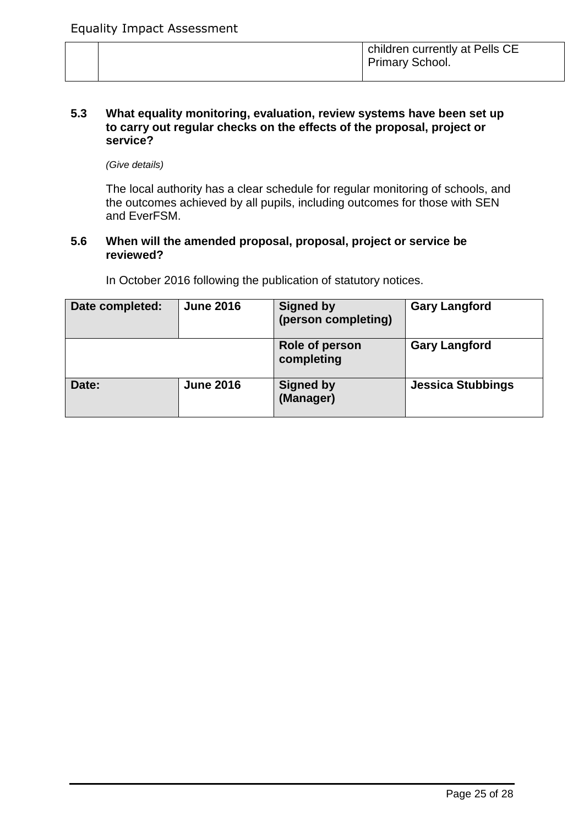#### **5.3 What equality monitoring, evaluation, review systems have been set up to carry out regular checks on the effects of the proposal, project or service?**

*(Give details)*

The local authority has a clear schedule for regular monitoring of schools, and the outcomes achieved by all pupils, including outcomes for those with SEN and EverFSM.

### **5.6 When will the amended proposal, proposal, project or service be reviewed?**

In October 2016 following the publication of statutory notices.

| Date completed: | <b>June 2016</b> | <b>Signed by</b><br>(person completing) | <b>Gary Langford</b>     |
|-----------------|------------------|-----------------------------------------|--------------------------|
|                 |                  | Role of person<br>completing            | <b>Gary Langford</b>     |
| Date:           | <b>June 2016</b> | <b>Signed by</b><br>(Manager)           | <b>Jessica Stubbings</b> |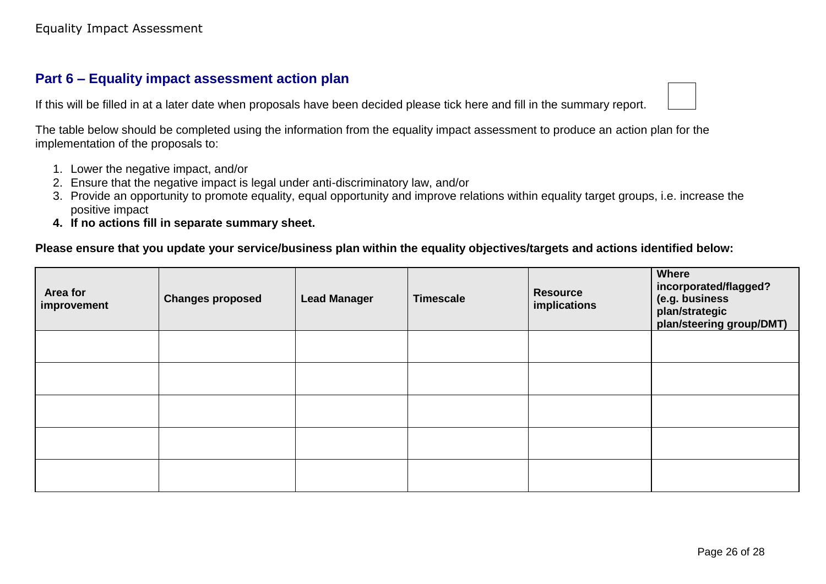# **Part 6 – Equality impact assessment action plan**

If this will be filled in at a later date when proposals have been decided please tick here and fill in the summary report.



The table below should be completed using the information from the equality impact assessment to produce an action plan for the implementation of the proposals to:

- 1. Lower the negative impact, and/or
- 2. Ensure that the negative impact is legal under anti-discriminatory law, and/or
- 3. Provide an opportunity to promote equality, equal opportunity and improve relations within equality target groups, i.e. increase the positive impact
- **4. If no actions fill in separate summary sheet.**

#### <span id="page-26-0"></span>**Please ensure that you update your service/business plan within the equality objectives/targets and actions identified below:**

| Area for<br>improvement | <b>Changes proposed</b> | <b>Lead Manager</b> | <b>Timescale</b> | <b>Resource</b><br>implications | <b>Where</b><br>incorporated/flagged?<br>(e.g. business<br>plan/strategic<br>plan/steering group/DMT) |
|-------------------------|-------------------------|---------------------|------------------|---------------------------------|-------------------------------------------------------------------------------------------------------|
|                         |                         |                     |                  |                                 |                                                                                                       |
|                         |                         |                     |                  |                                 |                                                                                                       |
|                         |                         |                     |                  |                                 |                                                                                                       |
|                         |                         |                     |                  |                                 |                                                                                                       |
|                         |                         |                     |                  |                                 |                                                                                                       |